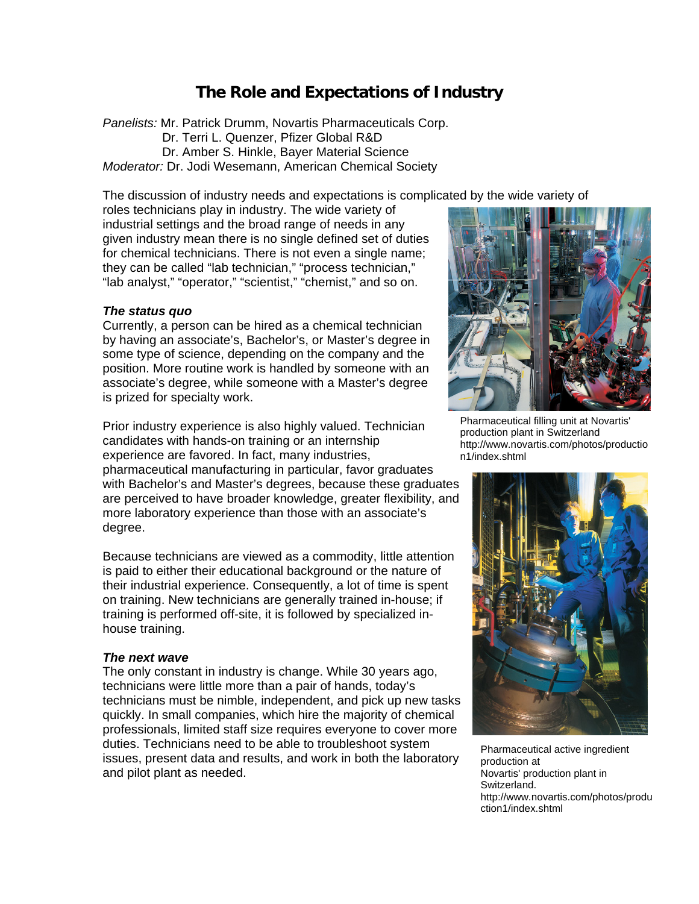# **The Role and Expectations of Industry**

*Panelists:* Mr. Patrick Drumm, Novartis Pharmaceuticals Corp. Dr. Terri L. Quenzer, Pfizer Global R&D Dr. Amber S. Hinkle, Bayer Material Science *Moderator:* Dr. Jodi Wesemann, American Chemical Society

The discussion of industry needs and expectations is complicated by the wide variety of

roles technicians play in industry. The wide variety of industrial settings and the broad range of needs in any given industry mean there is no single defined set of duties for chemical technicians. There is not even a single name; they can be called "lab technician," "process technician," "lab analyst," "operator," "scientist," "chemist," and so on.

## *The status quo*

Currently, a person can be hired as a chemical technician by having an associate's, Bachelor's, or Master's degree in some type of science, depending on the company and the position. More routine work is handled by someone with an associate's degree, while someone with a Master's degree is prized for specialty work.

Prior industry experience is also highly valued. Technician candidates with hands-on training or an internship experience are favored. In fact, many industries, pharmaceutical manufacturing in particular, favor graduates with Bachelor's and Master's degrees, because these graduates are perceived to have broader knowledge, greater flexibility, and more laboratory experience than those with an associate's degree.

Because technicians are viewed as a commodity, little attention is paid to either their educational background or the nature of their industrial experience. Consequently, a lot of time is spent on training. New technicians are generally trained in-house; if training is performed off-site, it is followed by specialized inhouse training.

#### *The next wave*

The only constant in industry is change. While 30 years ago, technicians were little more than a pair of hands, today's technicians must be nimble, independent, and pick up new tasks quickly. In small companies, which hire the majority of chemical professionals, limited staff size requires everyone to cover more duties. Technicians need to be able to troubleshoot system issues, present data and results, and work in both the laboratory and pilot plant as needed.



Pharmaceutical filling unit at Novartis' production plant in Switzerland http://www.novartis.com/photos/productio n1/index.shtml



Pharmaceutical active ingredient production at Novartis' production plant in Switzerland. http://www.novartis.com/photos/produ ction1/index.shtml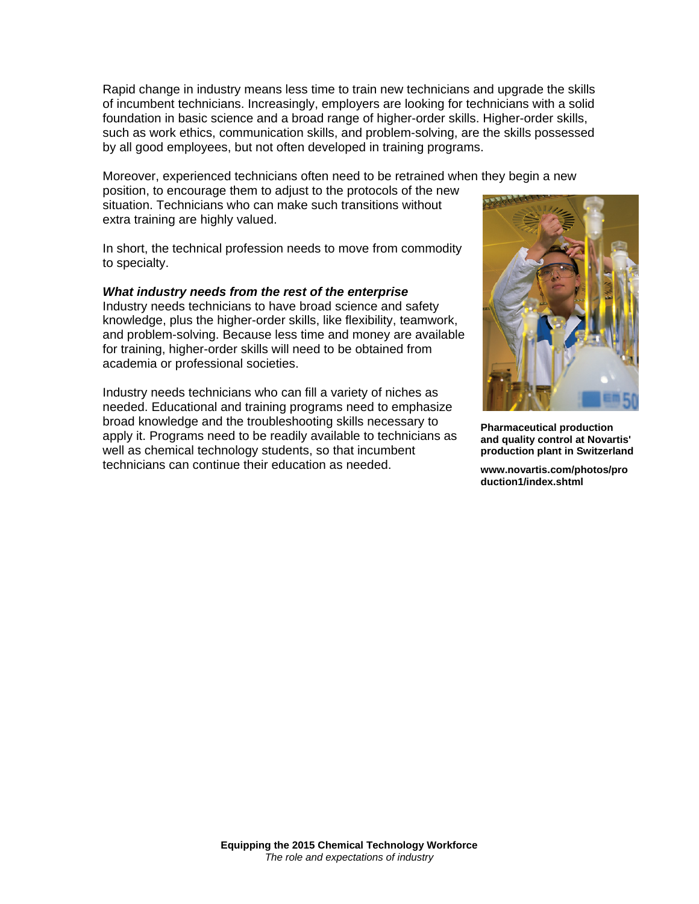Rapid change in industry means less time to train new technicians and upgrade the skills of incumbent technicians. Increasingly, employers are looking for technicians with a solid foundation in basic science and a broad range of higher-order skills. Higher-order skills, such as work ethics, communication skills, and problem-solving, are the skills possessed by all good employees, but not often developed in training programs.

Moreover, experienced technicians often need to be retrained when they begin a new

position, to encourage them to adjust to the protocols of the new situation. Technicians who can make such transitions without extra training are highly valued.

In short, the technical profession needs to move from commodity to specialty.

## *What industry needs from the rest of the enterprise*

Industry needs technicians to have broad science and safety knowledge, plus the higher-order skills, like flexibility, teamwork, and problem-solving. Because less time and money are available for training, higher-order skills will need to be obtained from academia or professional societies.

Industry needs technicians who can fill a variety of niches as needed. Educational and training programs need to emphasize broad knowledge and the troubleshooting skills necessary to apply it. Programs need to be readily available to technicians as well as chemical technology students, so that incumbent technicians can continue their education as needed.



**Pharmaceutical production and quality control at Novartis' production plant in Switzerland** 

**www.novartis.com/photos/pro duction1/index.shtml**